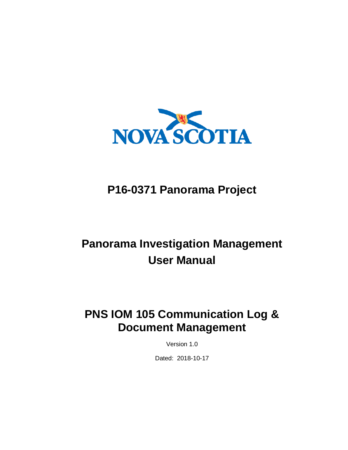

# **P16-0371 Panorama Project**

# **Panorama Investigation Management User Manual**

# **PNS IOM 105 Communication Log & Document Management**

Version 1.0

Dated: 2018-10-17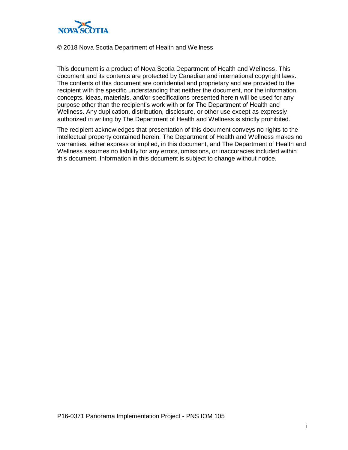

#### © 2018 Nova Scotia Department of Health and Wellness

This document is a product of Nova Scotia Department of Health and Wellness. This document and its contents are protected by Canadian and international copyright laws. The contents of this document are confidential and proprietary and are provided to the recipient with the specific understanding that neither the document, nor the information, concepts, ideas, materials, and/or specifications presented herein will be used for any purpose other than the recipient's work with or for The Department of Health and Wellness. Any duplication, distribution, disclosure, or other use except as expressly authorized in writing by The Department of Health and Wellness is strictly prohibited.

The recipient acknowledges that presentation of this document conveys no rights to the intellectual property contained herein. The Department of Health and Wellness makes no warranties, either express or implied, in this document, and The Department of Health and Wellness assumes no liability for any errors, omissions, or inaccuracies included within this document. Information in this document is subject to change without notice.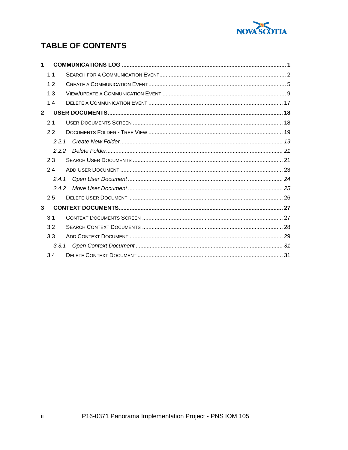

# TABLE OF CONTENTS

| 1              |       |  |
|----------------|-------|--|
|                | 1.1   |  |
|                | 1.2   |  |
|                | 1.3   |  |
|                | 14    |  |
| $\overline{2}$ |       |  |
|                | 2.1   |  |
|                | 22    |  |
|                | 221   |  |
|                | 222   |  |
|                | 2.3   |  |
|                | 24    |  |
|                | 2.4.1 |  |
|                | $242$ |  |
|                | 2.5   |  |
| 3              |       |  |
|                | 3.1   |  |
|                | 3.2   |  |
|                | 3.3   |  |
|                | 3.3.1 |  |
|                | 3.4   |  |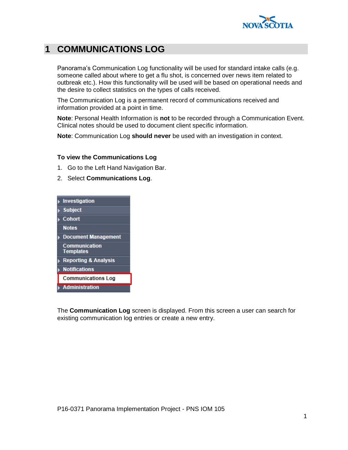

# <span id="page-4-0"></span>**1 COMMUNICATIONS LOG**

Panorama's Communication Log functionality will be used for standard intake calls (e.g. someone called about where to get a flu shot, is concerned over news item related to outbreak etc.). How this functionality will be used will be based on operational needs and the desire to collect statistics on the types of calls received.

The Communication Log is a permanent record of communications received and information provided at a point in time.

**Note**: Personal Health Information is **not** to be recorded through a Communication Event. Clinical notes should be used to document client specific information.

**Note**: Communication Log **should never** be used with an investigation in context.

#### **To view the Communications Log**

- 1. Go to the Left Hand Navigation Bar.
- 2. Select **Communications Log**.



The **Communication Log** screen is displayed. From this screen a user can search for existing communication log entries or create a new entry.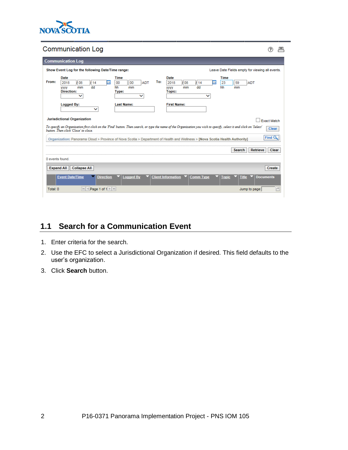

#### **Communication Log**

|                 | <b>Communication Log</b>                                                |                                                                        |                                                                                                                                                                                                                                                                                                    | 戶                                               |
|-----------------|-------------------------------------------------------------------------|------------------------------------------------------------------------|----------------------------------------------------------------------------------------------------------------------------------------------------------------------------------------------------------------------------------------------------------------------------------------------------|-------------------------------------------------|
|                 | <b>Communication Log</b>                                                |                                                                        |                                                                                                                                                                                                                                                                                                    |                                                 |
|                 | Show Event Log for the following Date/Time range:                       |                                                                        |                                                                                                                                                                                                                                                                                                    | Leave Date Fields empty for viewing all events. |
| From:           | Date<br>2018<br>V 08<br>114<br>dd<br>mm<br><b>yyyy</b><br>Direction:    | <b>Time</b><br>To:<br>噩<br>00<br>00<br><b>ADT</b><br>hh<br>mm<br>Type: | <b>Time</b><br>Date<br>2018<br>N 08<br>23<br>14<br>ш<br>dd<br>hh<br>mm<br><b>yyyy</b><br><b>Topic:</b>                                                                                                                                                                                             | <b>ADT</b><br>59<br>mm                          |
|                 | <b>Logged By:</b><br>$\checkmark$<br><b>Jurisdictional Organization</b> | <b>Last Name:</b>                                                      | <b>First Name:</b>                                                                                                                                                                                                                                                                                 |                                                 |
|                 | button. Then click 'Close' to close.                                    |                                                                        | To specify an Organization first click on the 'Find' button. Then search, or type the name of the Organization you wish to specify, select it and click on 'Select'<br>Organization: Panorama Cloud > Province of Nova Scotia > Department of Health and Wellness > [Nova Scotia Health Authority] | Clear<br>Find Q                                 |
| 0 events found. |                                                                         |                                                                        |                                                                                                                                                                                                                                                                                                    | Retrieve<br>Clear<br><b>Search</b>              |
|                 | <b>Collapse All</b><br><b>Expand All</b>                                |                                                                        |                                                                                                                                                                                                                                                                                                    | Create                                          |
|                 | <b>Event Date/Time</b><br><b>Direction</b>                              | <b>Logged By</b>                                                       | <b>Client Information</b><br><b>Comm Type</b><br><b>Topic</b>                                                                                                                                                                                                                                      | <b>Documents</b><br><b>Title</b>                |
|                 |                                                                         |                                                                        |                                                                                                                                                                                                                                                                                                    |                                                 |

## <span id="page-5-0"></span>**1.1 Search for a Communication Event**

- 1. Enter criteria for the search.
- 2. Use the EFC to select a Jurisdictional Organization if desired. This field defaults to the user's organization.
- 3. Click **Search** button.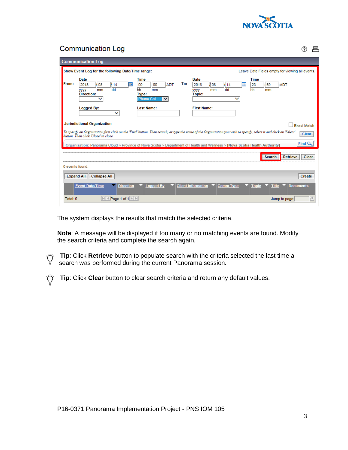

|                | <b>Communication Log</b><br>⊫                                                                                                                               |                                                                                                                                                                              |  |  |  |  |  |  |  |
|----------------|-------------------------------------------------------------------------------------------------------------------------------------------------------------|------------------------------------------------------------------------------------------------------------------------------------------------------------------------------|--|--|--|--|--|--|--|
|                | <b>Communication Log</b>                                                                                                                                    |                                                                                                                                                                              |  |  |  |  |  |  |  |
|                | Show Event Log for the following Date/Time range:                                                                                                           | Leave Date Fields empty for viewing all events.                                                                                                                              |  |  |  |  |  |  |  |
| From:          | Date<br><b>Time</b><br>To:<br>2018<br>00<br>00 :<br>08<br>噩<br><b>ADT</b><br>14<br>dd<br>hh<br>уууу<br>mm<br>mm<br>Direction:<br>Type:<br><b>Phone Call</b> | Date<br><b>Time</b><br>2018<br>噩<br>23<br>108<br>59<br>14<br>:ADT<br>dd<br>hh<br>уууу<br>mm<br>mm<br>Topic:                                                                  |  |  |  |  |  |  |  |
|                | Logged By:<br><b>Last Name:</b><br>$\checkmark$                                                                                                             | <b>First Name:</b>                                                                                                                                                           |  |  |  |  |  |  |  |
|                | <b>Jurisdictional Organization</b>                                                                                                                          | <b>Exact Match</b>                                                                                                                                                           |  |  |  |  |  |  |  |
|                | button, Then click 'Close' to close.                                                                                                                        | To specify an Organization first click on the 'Find' button. Then search, or type the name of the Organization you wish to specify, select it and click on 'Select'<br>Clear |  |  |  |  |  |  |  |
|                | Organization: Panorama Cloud > Province of Nova Scotia > Department of Health and Wellness > [Nova Scotia Health Authority]                                 | <b>Find C</b>                                                                                                                                                                |  |  |  |  |  |  |  |
| 0 events found |                                                                                                                                                             | Retrieve<br><b>Search</b><br>Clear                                                                                                                                           |  |  |  |  |  |  |  |
|                | <b>Expand All</b><br><b>Collapse All</b><br>Create                                                                                                          |                                                                                                                                                                              |  |  |  |  |  |  |  |
|                | <b>Event Date/Time</b><br>Logged By<br><b>Direction</b>                                                                                                     | <b>Client Information</b><br><b>Comm Type</b><br><b>Documents</b><br><b>Title</b><br><b>Topic</b>                                                                            |  |  |  |  |  |  |  |
| Total: 0       | $  u   +$ Page 1 of 1 $  v  $                                                                                                                               | Jump to page:                                                                                                                                                                |  |  |  |  |  |  |  |

The system displays the results that match the selected criteria.

**Note**: A message will be displayed if too many or no matching events are found. Modify the search criteria and complete the search again.

**Tip**: Click **Retrieve** button to populate search with the criteria selected the last time a search was performed during the current Panorama session.

**Tip**: Click **Clear** button to clear search criteria and return any default values.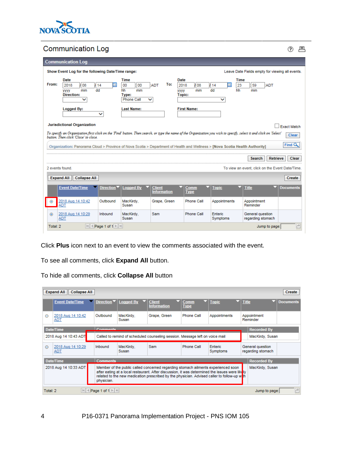

# **Communication Log**

② 昌

|                   | <b>Communication Log</b>                                                                                                                                                                                                                                                                                                                                                                                                                                 |                                                  |                                                                                        |                                     |                                                                          |                                                 |                                                 |                  |  |
|-------------------|----------------------------------------------------------------------------------------------------------------------------------------------------------------------------------------------------------------------------------------------------------------------------------------------------------------------------------------------------------------------------------------------------------------------------------------------------------|--------------------------------------------------|----------------------------------------------------------------------------------------|-------------------------------------|--------------------------------------------------------------------------|-------------------------------------------------|-------------------------------------------------|------------------|--|
|                   | Show Event Log for the following Date/Time range:                                                                                                                                                                                                                                                                                                                                                                                                        |                                                  |                                                                                        |                                     |                                                                          |                                                 | Leave Date Fields empty for viewing all events. |                  |  |
| From:             | Date<br>2018<br>08<br>dd<br><b>VVVV</b><br>mm<br>Direction:<br>v<br>Logged By:                                                                                                                                                                                                                                                                                                                                                                           | 冊<br>114<br>v                                    | <b>Time</b><br>00<br>00<br>hh<br>mm<br>Type:<br><b>Phone Call</b><br><b>Last Name:</b> | To:<br><b>ADT</b>                   | Date<br>2018<br>108<br><b>VYVY</b><br>mm<br>Topic:<br><b>First Name:</b> | <b>Time</b><br>冊<br>23<br>/ 14<br>dd<br>hh<br>v | 59<br><b>ADT</b><br>mm                          |                  |  |
| 2 events found.   | <b>Jurisdictional Organization</b><br><b>Exact Match</b><br>To specify an Organization first click on the 'Find' button. Then search, or type the name of the Organization you wish to specify, select it and click on 'Select'<br>Clear<br>button. Then click 'Close' to close.<br>Find Q<br>Organization: Panorama Cloud > Province of Nova Scotia > Department of Health and Wellness > [Nova Scotia Health Authority]<br>Retrieve<br>Clear<br>Search |                                                  |                                                                                        |                                     |                                                                          |                                                 |                                                 |                  |  |
|                   |                                                                                                                                                                                                                                                                                                                                                                                                                                                          |                                                  |                                                                                        |                                     |                                                                          |                                                 | To view an event, click on the Event Date/Time. |                  |  |
| <b>Expand All</b> | <b>Collapse All</b>                                                                                                                                                                                                                                                                                                                                                                                                                                      |                                                  |                                                                                        |                                     |                                                                          |                                                 |                                                 | Create           |  |
|                   | <b>Event Date/Time</b>                                                                                                                                                                                                                                                                                                                                                                                                                                   | Direction                                        | <b>Logged By</b>                                                                       | <b>Client</b><br><b>Information</b> | Comm<br><b>Type</b>                                                      | <b>Topic</b>                                    | <b>Title</b>                                    | <b>Documents</b> |  |
|                   | 2018 Aug 14 10:42<br><b>ADT</b>                                                                                                                                                                                                                                                                                                                                                                                                                          | Outbound                                         | MacKirdy.<br>Susan                                                                     | Grape, Green                        | Phone Call                                                               | Appointments                                    | Appointment<br>Reminder                         |                  |  |
| $\oplus$          | 2018 Aug 14 10:29<br><b>ADT</b>                                                                                                                                                                                                                                                                                                                                                                                                                          | Inbound                                          | MacKirdy.<br>Susan                                                                     | Sam                                 | Phone Call                                                               | Enteric<br>Symptoms                             | General question<br>regarding stomach           |                  |  |
| Total: 2          |                                                                                                                                                                                                                                                                                                                                                                                                                                                          | $ \mathbb{N} $ $\leq$ Page 1 of 1 $ \mathbb{N} $ |                                                                                        |                                     |                                                                          |                                                 | Jump to page:                                   | e                |  |

Click **Plus** icon next to an event to view the comments associated with the event.

To see all comments, click **Expand All** button.

To hide all comments, click **Collapse All** button

|   | <b>Expand All</b><br><b>Collapse All</b><br>Create                                                                                                                                                                                                                                                                                           |                 |                                          |                                                                              |                     |                     |                 |                                       |                  |
|---|----------------------------------------------------------------------------------------------------------------------------------------------------------------------------------------------------------------------------------------------------------------------------------------------------------------------------------------------|-----------------|------------------------------------------|------------------------------------------------------------------------------|---------------------|---------------------|-----------------|---------------------------------------|------------------|
|   | <b>Event Date/Time</b>                                                                                                                                                                                                                                                                                                                       |                 | Direction $\blacktriangledown$ Logged By | <b>Client</b><br><b>Information</b>                                          | Comm<br><b>Type</b> | <b>Topic</b>        | <b>V</b> Title  |                                       | <b>Documents</b> |
| Θ | 2018 Aug 14 10:42<br>ADT                                                                                                                                                                                                                                                                                                                     | Outbound        | MacKirdy,<br>Susan                       | Grape, Green                                                                 | <b>Phone Call</b>   | Appointments        |                 | Appointment<br>Reminder               |                  |
|   | Date/Time                                                                                                                                                                                                                                                                                                                                    | Commante        |                                          |                                                                              |                     |                     |                 | <b>Recorded By</b>                    |                  |
|   | 2018 Aug 14 10:43 ADT                                                                                                                                                                                                                                                                                                                        |                 |                                          | Called to remind of scheduled counseling session. Message left on voice mail |                     |                     | MacKirdy, Susan |                                       |                  |
| Θ | 2018 Aug 14 10:29<br><b>ADT</b>                                                                                                                                                                                                                                                                                                              | Inbound         | MacKirdy,<br>Susan                       | <b>Sam</b>                                                                   | Phone Call          | Enteric<br>Symptoms |                 | General question<br>regarding stomach |                  |
|   | Date/Time                                                                                                                                                                                                                                                                                                                                    | <b>Comments</b> |                                          |                                                                              |                     |                     |                 | <b>Recorded By</b>                    |                  |
|   | 2018 Aug 14 10:33 ADT<br>Member of the public called concerned regarding stomach ailments experienced soon<br>MacKirdy, Susan<br>after eating at a local restaurant. After discussion, it was determined the issues were likely<br>related to the new medication prescribed by the physician. Advised caller to follow-up with<br>physician. |                 |                                          |                                                                              |                     |                     |                 |                                       |                  |
|   | $r^+$<br>$\blacksquare$ Page 1 of 1 $\blacksquare$<br>Total: 2<br>Jump to page:                                                                                                                                                                                                                                                              |                 |                                          |                                                                              |                     |                     |                 |                                       |                  |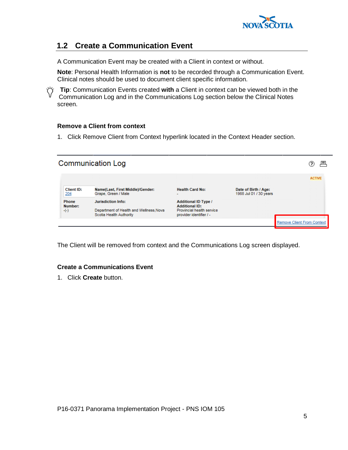

## <span id="page-8-0"></span>**1.2 Create a Communication Event**

A Communication Event may be created with a Client in context or without.

**Note**: Personal Health Information is **not** to be recorded through a Communication Event. Clinical notes should be used to document client specific information.

**Tip**: Communication Events created with a Client in context can be viewed both in the Communication Log and in the Communications Log section below the Clinical Notes screen.

#### **Remove a Client from context**

1. Click Remove Client from Context hyperlink located in the Context Header section.

|                            | <b>Communication Log</b>                                                                        |                                                                                                              |                                                | 戶<br>?)                           |
|----------------------------|-------------------------------------------------------------------------------------------------|--------------------------------------------------------------------------------------------------------------|------------------------------------------------|-----------------------------------|
| <b>Client ID:</b><br>204   | Name(Last, First Middle)/Gender:<br>Grape, Green / Male                                         | <b>Health Card No:</b>                                                                                       | Date of Birth / Age:<br>1988 Jul 01 / 30 years | <b>ACTIVE</b>                     |
| Phone<br>Number:<br>$-(-)$ | <b>Jurisdiction Info:</b><br>Department of Health and Wellness, Nova<br>Scotia Health Authority | <b>Additional ID Type /</b><br><b>Additional ID:</b><br>Provincial health service<br>provider identifier / - |                                                |                                   |
|                            |                                                                                                 |                                                                                                              |                                                | <b>Remove Client From Context</b> |

The Client will be removed from context and the Communications Log screen displayed.

#### **Create a Communications Event**

1. Click **Create** button.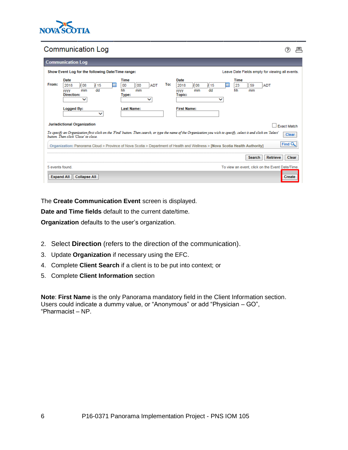

## **Communication Log**

| <b>Communication Log</b> |                                                                                                      |                                                                        |                                                                                                                                                                              |  |  |  |  |  |
|--------------------------|------------------------------------------------------------------------------------------------------|------------------------------------------------------------------------|------------------------------------------------------------------------------------------------------------------------------------------------------------------------------|--|--|--|--|--|
|                          | Show Event Log for the following Date/Time range:<br>Leave Date Fields empty for viewing all events. |                                                                        |                                                                                                                                                                              |  |  |  |  |  |
| From:                    | Date<br>2018<br>噩<br>08<br>15<br>dd<br>mm<br>уууу<br>Direction:                                      | <b>Time</b><br>To:<br>00<br><b>ADT</b><br>OO<br>hh<br>mm<br>Type:<br>ັ | Date<br>Time<br>2018<br>噩<br>23<br>108<br>115<br>59<br>:ADT<br>dd<br>hh<br>mm<br>mm<br><b>yyyy</b><br>Topic:<br>v                                                            |  |  |  |  |  |
|                          | Logged By:<br>$\checkmark$                                                                           | <b>Last Name:</b>                                                      | <b>First Name:</b>                                                                                                                                                           |  |  |  |  |  |
|                          | <b>Jurisdictional Organization</b>                                                                   |                                                                        | <b>Exact Match</b>                                                                                                                                                           |  |  |  |  |  |
|                          | button. Then click 'Close' to close.                                                                 |                                                                        | To specify an Organization first click on the 'Find' button. Then search, or type the name of the Organization you wish to specify, select it and click on 'Select'<br>Clear |  |  |  |  |  |
|                          |                                                                                                      |                                                                        | Find $Q$<br>Organization: Panorama Cloud > Province of Nova Scotia > Department of Health and Wellness > [Nova Scotia Health Authority]                                      |  |  |  |  |  |
|                          |                                                                                                      |                                                                        | Retrieve<br>Clear<br>Search                                                                                                                                                  |  |  |  |  |  |
|                          | To view an event, click on the Event Date/Time.<br>5 events found.                                   |                                                                        |                                                                                                                                                                              |  |  |  |  |  |
|                          | <b>Expand All</b><br><b>Collapse All</b>                                                             |                                                                        | Create                                                                                                                                                                       |  |  |  |  |  |

The **Create Communication Event** screen is displayed.

**Date and Time fields** default to the current date/time.

**Organization** defaults to the user's organization.

- 2. Select **Direction** (refers to the direction of the communication).
- 3. Update **Organization** if necessary using the EFC.
- 4. Complete **Client Search** if a client is to be put into context; or
- 5. Complete **Client Information** section

**Note**: **First Name** is the only Panorama mandatory field in the Client Information section. Users could indicate a dummy value, or "Anonymous" or add "Physician – GO", "Pharmacist – NP.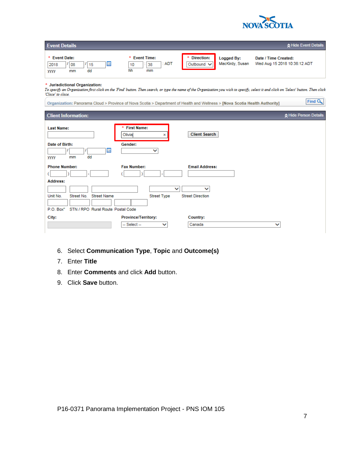

| <b>Event Details</b>                                       |                                                |                                      |                               | A Hide Event Details                                 |
|------------------------------------------------------------|------------------------------------------------|--------------------------------------|-------------------------------|------------------------------------------------------|
| * Event Date:<br>噩<br>2018<br>08<br>15<br>dd<br>mm<br>уууу | * Event Time:<br>: ADT<br>38<br>10<br>hh<br>mm | <b>Direction:</b><br>×<br>Outbound V | Logged By:<br>MacKirdy, Susan | Date / Time Created:<br>Wed Aug 15 2018 10:38:12 ADT |

#### \* Jurisdictional Organization:

To specify an Organization first click on the 'Find' button. Then search, or type the name of the Organization you wish to specify, select it and click on 'Select' button. Then click<br>'Close' to close.

| <b>Client Information:</b>                                                                                 |                                                         |                                              | ☆ Hide Person Details |
|------------------------------------------------------------------------------------------------------------|---------------------------------------------------------|----------------------------------------------|-----------------------|
| <b>Last Name:</b><br>Date of Birth:<br>噩<br>dd<br>mm<br>уууу                                               | * First Name:<br>Olivia<br>×<br>Gender:<br>$\checkmark$ | <b>Client Search</b>                         |                       |
| <b>Phone Number:</b>                                                                                       | <b>Fax Number:</b>                                      | <b>Email Address:</b>                        |                       |
| Address:<br><b>Street Name</b><br>Unit No.<br>Street No.<br>STN / RPO Rural Route Postal Code<br>P.O. Box" | Street Type                                             | $\checkmark$<br>v<br><b>Street Direction</b> |                       |
| City:                                                                                                      | Province/Territory:<br>-- Select --<br>◡                | Country:<br>Canada<br>$\checkmark$           |                       |

- 6. Select **Communication Type**, **Topic** and **Outcome(s)**
- 7. Enter **Title**
- 8. Enter **Comments** and click **Add** button.
- 9. Click **Save** button.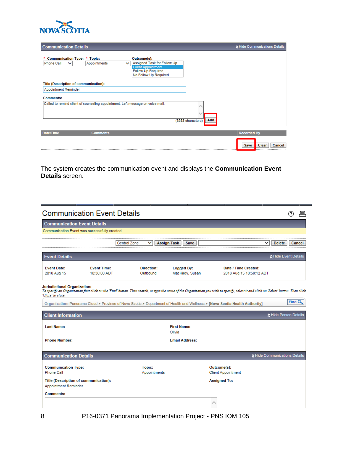

| <b>Communication Details</b>                                                                                                                                                                                         | ☆ Hide Communications Details |
|----------------------------------------------------------------------------------------------------------------------------------------------------------------------------------------------------------------------|-------------------------------|
| * Communication Type: * Topic:<br>Outcome(s):<br>Assigned Task for Follow Up<br><b>Phone Call</b><br>Appointments<br>$\checkmark$<br><b>Client Appointment</b><br><b>Follow Up Required</b><br>No Follow Up Required |                               |
| Title (Description of communication):                                                                                                                                                                                |                               |
| Appointment Reminder                                                                                                                                                                                                 |                               |
| <b>Comments:</b>                                                                                                                                                                                                     |                               |
| Called to remind client of counseling appointment. Left message on voice mail.<br>Add<br>(3922 characters)                                                                                                           |                               |
| Date/Time<br><b>Comments</b>                                                                                                                                                                                         | <b>Recorded By</b>            |
|                                                                                                                                                                                                                      | Clear<br>Save<br>Cancel       |

The system creates the communication event and displays the **Communication Event Details** screen.

|                                                               | <b>Communication Event Details</b>            |                        |                               |                                                                                                                                                                                        | ⊑<br>(?                       |
|---------------------------------------------------------------|-----------------------------------------------|------------------------|-------------------------------|----------------------------------------------------------------------------------------------------------------------------------------------------------------------------------------|-------------------------------|
| <b>Communication Event Details</b>                            |                                               |                        |                               |                                                                                                                                                                                        |                               |
|                                                               | Communication Event was successfully created. |                        |                               |                                                                                                                                                                                        |                               |
|                                                               |                                               | <b>Central Zone</b>    | <b>Assign Task</b><br>Save    |                                                                                                                                                                                        | <b>Delete</b><br>Cancel       |
| <b>Event Details</b>                                          |                                               |                        |                               |                                                                                                                                                                                        | ☆ Hide Event Details          |
| <b>Event Date:</b><br>2018 Aug 15                             | <b>Event Time:</b><br>10:38:00 ADT            | Direction:<br>Outbound | Logged By:<br>MacKirdy, Susan | Date / Time Created:<br>2018 Aug 15 10:58:12 ADT                                                                                                                                       |                               |
| <b>Jurisdictional Organization:</b><br>'Close' to close.      |                                               |                        |                               | To specify an Organization first click on the 'Find' button. Then search, or type the name of the Organization you wish to specify, select it and click on 'Select' button. Then click |                               |
|                                                               |                                               |                        |                               | Organization: Panorama Cloud > Province of Nova Scotia > Department of Health and Wellness > [Nova Scotia Health Authority]                                                            | Find <sub>Q</sub>             |
| <b>Client Information</b>                                     |                                               |                        |                               |                                                                                                                                                                                        | ☆ Hide Person Details         |
| <b>Last Name:</b>                                             |                                               |                        | <b>First Name:</b><br>Olivia  |                                                                                                                                                                                        |                               |
| <b>Phone Number:</b>                                          |                                               |                        | <b>Email Address:</b>         |                                                                                                                                                                                        |                               |
| <b>Communication Details</b>                                  |                                               |                        |                               |                                                                                                                                                                                        | ☆ Hide Communications Details |
| <b>Communication Type:</b><br><b>Phone Call</b>               |                                               | Topic:<br>Appointments |                               | Outcome(s):<br><b>Client Appointment</b>                                                                                                                                               |                               |
| Title (Description of communication):<br>Appointment Reminder |                                               |                        |                               | <b>Assigned To:</b>                                                                                                                                                                    |                               |
| <b>Comments:</b>                                              |                                               |                        |                               |                                                                                                                                                                                        |                               |
|                                                               |                                               |                        |                               |                                                                                                                                                                                        |                               |

8 P16-0371 Panorama Implementation Project - PNS IOM 105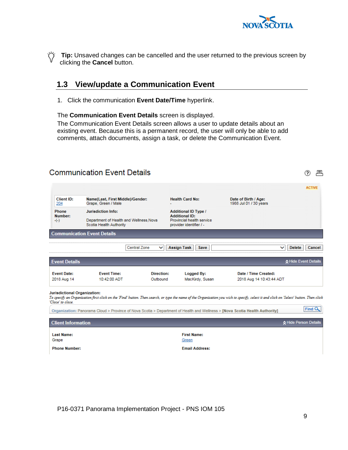

**Tip:** Unsaved changes can be cancelled and the user returned to the previous screen by clicking the **Cancel** button.

## <span id="page-12-0"></span>**1.3 View/update a Communication Event**

1. Click the communication **Event Date/Time** hyperlink.

#### The **Communication Event Details** screen is displayed.

**Communication Event Details** 

The Communication Event Details screen allows a user to update details about an existing event. Because this is a permanent record, the user will only be able to add comments, attach documents, assign a task, or delete the Communication Event.

|                                                          |                                                                                                                                                                                        |            |                                                      |                                                | <b>ACTIVE</b>           |
|----------------------------------------------------------|----------------------------------------------------------------------------------------------------------------------------------------------------------------------------------------|------------|------------------------------------------------------|------------------------------------------------|-------------------------|
| <b>Client ID:</b><br>204                                 | Name(Last, First Middle)/Gender:<br>Grape, Green / Male                                                                                                                                |            | <b>Health Card No:</b>                               | Date of Birth / Age:<br>1988 Jul 01 / 30 years |                         |
| Phone<br>Number:                                         | <b>Jurisdiction Info:</b>                                                                                                                                                              |            | <b>Additional ID Type /</b><br><b>Additional ID:</b> |                                                |                         |
| $-(-)$                                                   | Department of Health and Wellness, Nova<br>Scotia Health Authority                                                                                                                     |            | Provincial health service<br>provider identifier / - |                                                |                         |
|                                                          | <b>Communication Event Details</b>                                                                                                                                                     |            |                                                      |                                                |                         |
|                                                          | Central Zone                                                                                                                                                                           |            | Assign Task<br>Save                                  |                                                | <b>Delete</b><br>Cancel |
| <b>Event Details</b>                                     |                                                                                                                                                                                        |            |                                                      |                                                | ☆ Hide Event Details    |
| <b>Event Date:</b>                                       | <b>Event Time:</b>                                                                                                                                                                     | Direction: | Logged By:                                           | Date / Time Created:                           |                         |
| 2018 Aug 14                                              | 10:42:00 ADT                                                                                                                                                                           | Outbound   | MacKirdy, Susan                                      | 2018 Aug 14 10:43:44 ADT                       |                         |
| <b>Jurisdictional Organization:</b><br>'Close' to close. | To specify an Organization first click on the 'Find' button. Then search, or type the name of the Organization you wish to specify, select it and click on 'Select' button. Then click |            |                                                      |                                                |                         |
|                                                          | Organization: Panorama Cloud > Province of Nova Scotia > Department of Health and Wellness > [Nova Scotia Health Authority]                                                            |            |                                                      |                                                | Find <sub>Q</sub>       |
| <b>Client Information</b>                                |                                                                                                                                                                                        |            |                                                      |                                                | ☆ Hide Person Details   |
| <b>Last Name:</b>                                        |                                                                                                                                                                                        |            | <b>First Name:</b>                                   |                                                |                         |
| Grape                                                    |                                                                                                                                                                                        |            | Green                                                |                                                |                         |
| <b>Phone Number:</b>                                     |                                                                                                                                                                                        |            | <b>Email Address:</b>                                |                                                |                         |

⑦ 具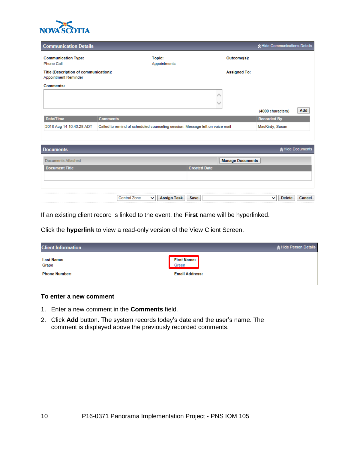

| <b>Communication Details</b>                                  |                                                                              |                     | ☆ Hide Communications Details |     |
|---------------------------------------------------------------|------------------------------------------------------------------------------|---------------------|-------------------------------|-----|
| <b>Communication Type:</b><br>Phone Call                      | Topic:<br>Appointments                                                       | Outcome(s):         |                               |     |
| Title (Description of communication):<br>Appointment Reminder |                                                                              | <b>Assigned To:</b> |                               |     |
| <b>Comments:</b>                                              |                                                                              |                     |                               |     |
|                                                               |                                                                              |                     |                               |     |
|                                                               |                                                                              |                     |                               |     |
|                                                               |                                                                              |                     | (4000 characters)             | Add |
| Date/Time                                                     | <b>Comments</b>                                                              |                     | <b>Recorded By</b>            |     |
| 2018 Aug 14 10:43:28 ADT                                      | Called to remind of scheduled counseling session. Message left on voice mail |                     | MacKirdy, Susan               |     |
|                                                               |                                                                              |                     |                               |     |

| <b>Documents</b>   |                     |                                    |                     | <b>☆Hide Documents</b>                  |
|--------------------|---------------------|------------------------------------|---------------------|-----------------------------------------|
| Documents Attached |                     |                                    |                     | <b>Manage Documents</b>                 |
| Document Title     |                     |                                    | <b>Created Date</b> |                                         |
|                    |                     |                                    |                     |                                         |
|                    |                     |                                    |                     |                                         |
|                    |                     |                                    |                     |                                         |
|                    | <b>Central Zone</b> | <b>Assign Task</b><br>$\checkmark$ | Save                | Cancel<br><b>Delete</b><br>$\checkmark$ |

If an existing client record is linked to the event, the **First** name will be hyperlinked.

Click the **hyperlink** to view a read-only version of the View Client Screen.

| <b>Client Information</b>  | ☆ Hide Person Details       |
|----------------------------|-----------------------------|
| <b>Last Name:</b><br>Grape | <b>First Name:</b><br>Green |
| <b>Phone Number:</b>       | <b>Email Address:</b>       |

#### **To enter a new comment**

- 1. Enter a new comment in the **Comments** field.
- 2. Click **Add** button. The system records today's date and the user's name. The comment is displayed above the previously recorded comments.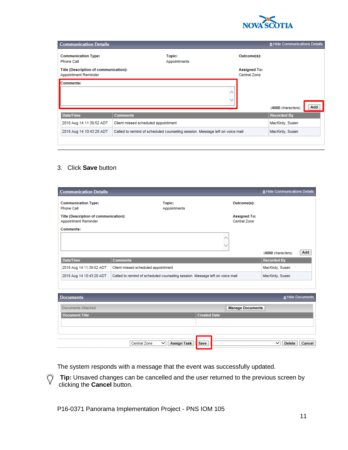

| <b>Communication Details</b>                                  |                                     |                                                                              |                                     | ☆ Hide Communications Details |     |
|---------------------------------------------------------------|-------------------------------------|------------------------------------------------------------------------------|-------------------------------------|-------------------------------|-----|
| <b>Communication Type:</b><br><b>Phone Call</b>               |                                     | Topic:<br>Appointments                                                       | Outcome(s):                         |                               |     |
| Title (Description of communication):<br>Appointment Reminder |                                     |                                                                              | <b>Assigned To:</b><br>Central Zone |                               |     |
| Comments:                                                     |                                     |                                                                              |                                     |                               |     |
|                                                               |                                     |                                                                              |                                     |                               |     |
|                                                               |                                     |                                                                              |                                     |                               |     |
|                                                               |                                     |                                                                              |                                     | (4000 characters)             | Add |
| Date/Time                                                     | <b>Comments</b>                     |                                                                              |                                     | <b>Recorded By</b>            |     |
| 2018 Aug 14 11:39:52 ADT                                      | Client missed scheduled appointment |                                                                              |                                     | MacKirdy, Susan               |     |
| 2018 Aug 14 10:43:28 ADT                                      |                                     | Called to remind of scheduled counseling session. Message left on voice mail |                                     | MacKirdy, Susan               |     |
|                                                               |                                     |                                                                              |                                     |                               |     |

#### 3. Click **Save** button

| <b>Communication Details</b>                                  |                                                                              |                               |                     |                                            | ☆ Hide Communications Details |                  |
|---------------------------------------------------------------|------------------------------------------------------------------------------|-------------------------------|---------------------|--------------------------------------------|-------------------------------|------------------|
| <b>Communication Type:</b><br><b>Phone Call</b>               |                                                                              | <b>Topic:</b><br>Appointments |                     | Outcome(s):                                |                               |                  |
| Title (Description of communication):<br>Appointment Reminder |                                                                              |                               |                     | <b>Assigned To:</b><br><b>Central Zone</b> |                               |                  |
| <b>Comments:</b>                                              |                                                                              |                               |                     |                                            |                               |                  |
|                                                               |                                                                              |                               | ∧<br>h,             |                                            |                               |                  |
|                                                               |                                                                              |                               |                     |                                            | (4000 characters)             | Add              |
| Date/Time                                                     | <b>Comments</b>                                                              |                               |                     |                                            | <b>Recorded By</b>            |                  |
| 2018 Aug 14 11:39:52 ADT                                      | Client missed scheduled appointment                                          |                               |                     |                                            | MacKirdy, Susan               |                  |
| 2018 Aug 14 10:43:28 ADT                                      | Called to remind of scheduled counseling session. Message left on voice mail |                               |                     |                                            | MacKirdy, Susan               |                  |
|                                                               |                                                                              |                               |                     |                                            |                               |                  |
|                                                               |                                                                              |                               |                     |                                            |                               |                  |
| <b>Documents</b>                                              |                                                                              |                               |                     |                                            |                               | ☆ Hide Documents |
| <b>Documents Attached</b>                                     |                                                                              |                               |                     | <b>Manage Documents</b>                    |                               |                  |
| <b>Document Title</b>                                         |                                                                              |                               | <b>Created Date</b> |                                            |                               |                  |
|                                                               |                                                                              |                               |                     |                                            |                               |                  |
|                                                               |                                                                              |                               |                     |                                            |                               |                  |
|                                                               |                                                                              |                               | .                   |                                            |                               |                  |
|                                                               | <b>Central Zone</b>                                                          | <b>Assign Task</b><br>◡       | Save<br>.           |                                            | <b>Delete</b>                 | Cancel           |

The system responds with a message that the event was successfully updated.

**Tip:** Unsaved changes can be cancelled and the user returned to the previous screen by clicking the **Cancel** button.

P16-0371 Panorama Implementation Project - PNS IOM 105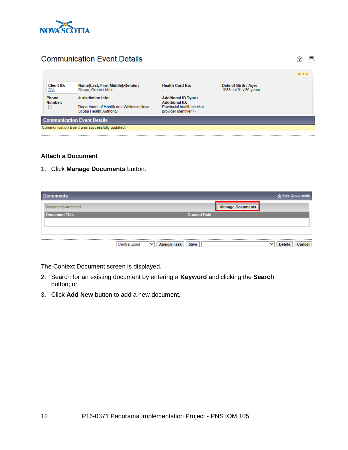

|                   | <b>Communication Event Details</b>                                  |                                                      |                                                | E             |
|-------------------|---------------------------------------------------------------------|------------------------------------------------------|------------------------------------------------|---------------|
| <b>Client ID:</b> |                                                                     | <b>Health Card No:</b>                               |                                                | <b>ACTIVE</b> |
| 204               | Name(Last, First Middle)/Gender:<br>Grape, Green / Male             |                                                      | Date of Birth / Age:<br>1988 Jul 01 / 30 years |               |
| Phone<br>Number:  | <b>Jurisdiction Info:</b>                                           | <b>Additional ID Type /</b><br><b>Additional ID:</b> |                                                |               |
| $-(-)$            | Department of Health and Wellness, Noval<br>Scotia Health Authority | Provincial health service<br>provider identifier / - |                                                |               |
|                   | <b>Communication Event Details</b>                                  |                                                      |                                                |               |
|                   | Communication Event was successfully updated.                       |                                                      |                                                |               |
|                   |                                                                     |                                                      |                                                |               |

#### **Attach a Document**

1. Click **Manage Documents** button.

| <b>Documents</b>      |                                                           | A Hide Documents        |
|-----------------------|-----------------------------------------------------------|-------------------------|
| Documents Attached    |                                                           | <b>Manage Documents</b> |
| <b>Document Title</b> |                                                           | <b>Created Date</b>     |
|                       |                                                           |                         |
|                       |                                                           |                         |
|                       |                                                           |                         |
|                       | <b>Central Zone</b><br><b>Assign Task</b><br>$\checkmark$ | Save<br>ັ<br>Delete     |

The Context Document screen is displayed.

- 2. Search for an existing document by entering a **Keyword** and clicking the **Search** button; or
- 3. Click **Add New** button to add a new document.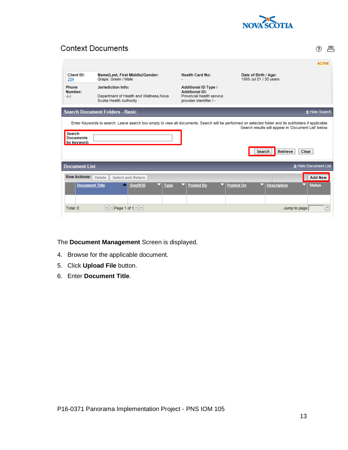

② 昌

## **Context Documents**

|                                                  |                                                                                                                                                       |                                                      |                                                | <b>ACTIVE</b>                                                             |
|--------------------------------------------------|-------------------------------------------------------------------------------------------------------------------------------------------------------|------------------------------------------------------|------------------------------------------------|---------------------------------------------------------------------------|
| Client ID:<br>204                                | Name(Last, First Middle)/Gender:<br>Grape, Green / Male                                                                                               | <b>Health Card No:</b>                               | Date of Birth / Age:<br>1988 Jul 01 / 30 years |                                                                           |
| <b>Phone</b><br>Number:                          | <b>Jurisdiction Info:</b>                                                                                                                             | <b>Additional ID Type /</b><br><b>Additional ID:</b> |                                                |                                                                           |
| $-(-)$                                           | Department of Health and Wellness, Noval<br>Scotia Health Authority                                                                                   | Provincial health service<br>provider identifier / - |                                                |                                                                           |
|                                                  | <b>Search Document Folders - Basic</b>                                                                                                                |                                                      |                                                | ☆ Hide Search                                                             |
| <b>Search</b><br><b>Documents</b><br>by keyword: | Enter Keywords to search. Leave search box empty to view all documents. Search will be performed on selected folder and its subfolders if applicable. |                                                      | Search                                         | Search results will appear in 'Document List' below.<br>Retrieve<br>Clear |
| <b>Document List</b>                             |                                                                                                                                                       |                                                      |                                                | ☆ Hide Document List                                                      |
| <b>Row Actions:</b>                              | <b>Delete</b><br><b>Select and Return</b>                                                                                                             |                                                      |                                                | <b>Add New</b>                                                            |
|                                                  | <b>Document Title</b><br>Size[KB]                                                                                                                     | <b>Posted By</b><br>Type                             | <b>Posted On</b>                               | <b>Description</b><br><b>Status</b>                                       |
| Total: 0                                         | $  \cdot  $ + Page 1 of 1 $  \cdot  $                                                                                                                 |                                                      |                                                | Ò<br>Jump to page:                                                        |

The **Document Management** Screen is displayed.

- 4. Browse for the applicable document.
- 5. Click **Upload File** button.
- 6. Enter **Document Title**.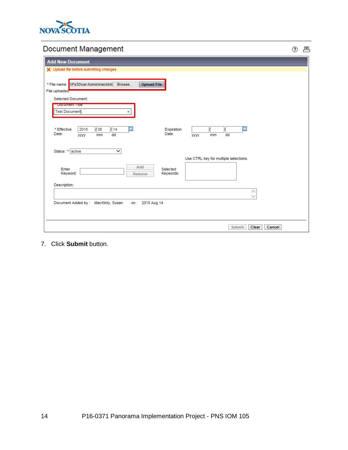

## Document Management

| Document Management                                                                                                  | (?)<br>具 |
|----------------------------------------------------------------------------------------------------------------------|----------|
| <b>Add New Document</b>                                                                                              |          |
| X Upload file before submitting changes                                                                              |          |
| * File name: WFs30\usr-home\mackirds<br><b>Upload File</b><br>Browse<br>File uploaded.                               |          |
| Selected Document:                                                                                                   |          |
| <b>Document The:</b><br><b>Test Document</b><br>×                                                                    |          |
| 囲<br>N 08<br>/14<br>噩<br>* Effective<br>2018<br>Expiration<br>Date:<br>Date:<br>dd<br>dd<br>mm<br>уууу<br>уууу<br>mm |          |
| v<br>Status: * active<br>Use CTRL key for multiple selections.                                                       |          |
| Add<br>Enter<br>Selected<br>Keyword:<br>Keywords:<br>Remove                                                          |          |
| Description:                                                                                                         |          |
| ∧                                                                                                                    |          |
| Document Added by: MacKirdy, Susan<br>on: 2018 Aug 14                                                                |          |
| Clear<br>Cancel<br><b>Submit</b>                                                                                     |          |

7. Click **Submit** button.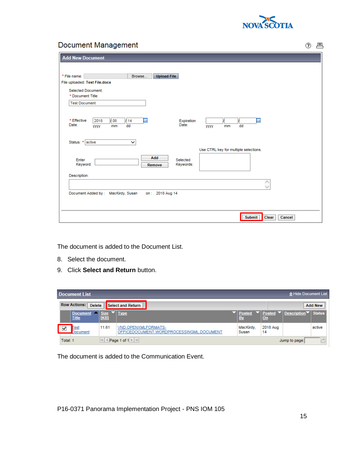

### Document Management

 $\overline{\phantom{0}}$ 

| <b>Add New Document</b>                                                                                              |
|----------------------------------------------------------------------------------------------------------------------|
|                                                                                                                      |
| <b>Upload File</b><br>* File name:<br>Browse                                                                         |
| File uploaded: Test File.docx                                                                                        |
| Selected Document:                                                                                                   |
| * Document Title:                                                                                                    |
| <b>Test Document</b>                                                                                                 |
|                                                                                                                      |
| 08 N<br>* Effective<br>2018<br>114<br>⊞<br>噩<br>Expiration<br>Date:<br>Date:<br>dd<br>dd<br>УУУУ<br>mm<br>УУУУ<br>mm |
| Status: * active<br>$\checkmark$<br>Use CTRL key for multiple selections.                                            |
| Add<br>Selected<br>Enter<br>Keyword:<br>Keywords:<br>Remove                                                          |
| Description:                                                                                                         |
|                                                                                                                      |
|                                                                                                                      |
| Document Added by: MacKirdy, Susan<br>on: 2018 Aug 14                                                                |
|                                                                                                                      |
|                                                                                                                      |
| <b>Submit</b><br>Clear<br>Cancel                                                                                     |
|                                                                                                                      |

The document is added to the Document List.

- 8. Select the document.
- 9. Click **Select and Return** button.

|                               | ☆ Hide Document List<br><b>Document List</b>                                |                            |                     |                                                                 |                     |                |                                                                                          |        |
|-------------------------------|-----------------------------------------------------------------------------|----------------------------|---------------------|-----------------------------------------------------------------|---------------------|----------------|------------------------------------------------------------------------------------------|--------|
|                               | <b>Row Actions:</b><br><b>Delete</b><br>Select and Return<br><b>Add New</b> |                            |                     |                                                                 |                     |                |                                                                                          |        |
|                               |                                                                             | Document  <br><b>Title</b> | <b>Size</b><br>[KB] | $\blacktriangledown$ Type                                       | Posted<br><b>By</b> | On             | $\blacktriangledown$ Posted $\blacktriangledown$ Description $\blacktriangledown$ Status |        |
|                               | √                                                                           | <b>Fest</b><br>Document    | 11.61               | VND.OPENXMLFORMATS-<br>OFFICEDOCUMENT.WORDPROCESSINGML.DOCUMENT | MacKirdy,<br>Susan  | 2018 Aug<br>14 |                                                                                          | active |
| Page 1 of 1      <br>Total: 1 |                                                                             |                            | Jump to page:       |                                                                 |                     |                |                                                                                          |        |

The document is added to the Communication Event.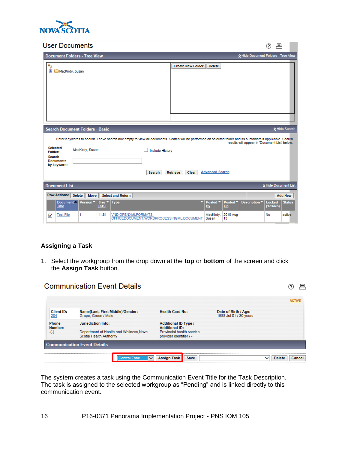

#### **Llear Documente**

| <b>User Documents</b>                                                                                                                                                                                                                                                                                                                                       | ?                                                     | 具                    |
|-------------------------------------------------------------------------------------------------------------------------------------------------------------------------------------------------------------------------------------------------------------------------------------------------------------------------------------------------------------|-------------------------------------------------------|----------------------|
| <b>Document Folders - Tree View</b>                                                                                                                                                                                                                                                                                                                         | Hide Document Folders - Tree View                     |                      |
| ڻ.<br><b>Create New Folder</b><br><b>Delete</b><br>由<br>MacKirdy, Susan                                                                                                                                                                                                                                                                                     |                                                       |                      |
| <b>Search Document Folders - Basic</b>                                                                                                                                                                                                                                                                                                                      |                                                       | ☆ Hide Search        |
| Enter Keywords to search. Leave search box empty to view all documents. Search will be performed on selected folder and its subfolders if applicable. Search<br><b>Selected</b><br>MacKirdy, Susan<br><b>Include History</b><br>Folder:<br><b>Search</b><br><b>Documents</b><br>by keyword:<br><b>Advanced Search</b><br>Clear<br><b>Search</b><br>Retrieve | results will appear in 'Document List' below.         |                      |
| <b>Document List</b>                                                                                                                                                                                                                                                                                                                                        |                                                       | ☆ Hide Document List |
| <b>Row Actions:</b><br><b>Select and Return</b><br><b>Delete</b><br>Move                                                                                                                                                                                                                                                                                    |                                                       | <b>Add New</b>       |
| Document <sup>4</sup><br>Version $\mathbf{v}$   Size $\mathbf{v}$   Type<br>Posted <sup>V</sup><br>Posted<br><b>Title</b><br>[KB]<br><b>By</b><br>On                                                                                                                                                                                                        | Description <sup>V</sup><br><b>Locked</b><br>(Yes/No) | <b>Status</b>        |
| 1<br>11.61<br>VND.OPENXMLFORMATS-<br>MacKirdy,<br>2018 Aug<br><b>Test File</b><br>√<br>OFFICEDOCUMENT.WORDPROCESSINGML.DOCUMENT<br>Susan<br>13                                                                                                                                                                                                              | No                                                    | active               |

 $\overline{\phantom{a}}$ 

#### **Assigning a Task**

1. Select the workgroup from the drop down at the **top** or **bottom** of the screen and click the **Assign Task** button.

|                   | <b>Communication Event Details</b>                                 |                                                                               |                                                | 戶                       |
|-------------------|--------------------------------------------------------------------|-------------------------------------------------------------------------------|------------------------------------------------|-------------------------|
|                   |                                                                    |                                                                               |                                                | <b>ACTIVE</b>           |
| Client ID:<br>204 | Name(Last, First Middle)/Gender:<br>Grape, Green / Male            | <b>Health Card No:</b>                                                        | Date of Birth / Age:<br>1988 Jul 01 / 30 years |                         |
| Phone             | <b>Jurisdiction Info:</b>                                          | <b>Additional ID Type /</b>                                                   |                                                |                         |
| Number:<br>$-(-)$ | Department of Health and Wellness, Nova<br>Scotia Health Authority | <b>Additional ID:</b><br>Provincial health service<br>provider identifier / - |                                                |                         |
|                   | <b>Communication Event Details</b>                                 |                                                                               |                                                |                         |
|                   | tral Zone<br>$\checkmark$                                          | <br><b>Assign Task</b><br>Save                                                |                                                | <b>Delete</b><br>Cancel |

The system creates a task using the Communication Event Title for the Task Description. The task is assigned to the selected workgroup as "Pending" and is linked directly to this communication event.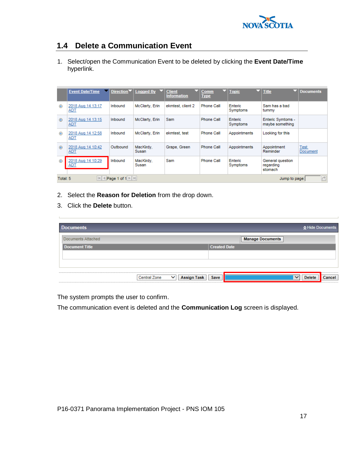

## <span id="page-20-0"></span>**1.4 Delete a Communication Event**

1. Select/open the Communication Event to be deleted by clicking the **Event Date/Time** hyperlink.

|             | <b>Event Date/Time</b>                                                                                      |          | Direction $\blacktriangledown$ Logged By | <b>Client</b><br><b>Information</b> | Comm<br><b>Type</b> | $\blacktriangledown$   Topic | Title                                    | <b>Documents</b>        |  |  |
|-------------|-------------------------------------------------------------------------------------------------------------|----------|------------------------------------------|-------------------------------------|---------------------|------------------------------|------------------------------------------|-------------------------|--|--|
| $\bigoplus$ | 2018 Aug 14 13:17<br><b>ADT</b>                                                                             | Inbound  | McClarty, Erin                           | ekmtest, client 2                   | Phone Call          | Enteric<br>Symptoms          | Sam has a bad<br>tummy                   |                         |  |  |
| $\oplus$    | 2018 Aug 14 13:15<br><u>ADT</u>                                                                             | Inbound  | McClarty, Erin                           | Sam                                 | Phone Call          | Enteric<br>Symptoms          | Enteric Symtoms -<br>maybe something     |                         |  |  |
| $\oplus$    | 2018 Aug 14 12:58<br><b>ADT</b>                                                                             | Inbound  | McClarty, Erin                           | ekmtest, test                       | Phone Call          | Appointments                 | Looking for this                         |                         |  |  |
| $\oplus$    | 2018 Aug 14 10:42<br>ADT                                                                                    | Outbound | MacKirdy,<br>Susan                       | Grape, Green                        | <b>Phone Call</b>   | Appointments                 | Appointment<br>Reminder                  | <b>Test</b><br>Document |  |  |
| $\oplus$    | 2018 Aug 14 10:29<br><u>ADT</u>                                                                             | Inbound  | MacKirdy.<br>Susan                       | Sam                                 | <b>Phone Call</b>   | Enteric<br>Symptoms          | General question<br>regarding<br>stomach |                         |  |  |
|             | P<br>Page 1 of 1 $\blacktriangleright$ $\blacktriangleright$<br>$ \mathbf{q} $<br>Total: 5<br>Jump to page: |          |                                          |                                     |                     |                              |                                          |                         |  |  |

- 2. Select the **Reason for Deletion** from the drop down.
- 3. Click the **Delete** button.

| <b>Documents</b>   |                     |                                    |                         |              |               | ☆ Hide Documents |
|--------------------|---------------------|------------------------------------|-------------------------|--------------|---------------|------------------|
| Documents Attached |                     |                                    | <b>Manage Documents</b> |              |               |                  |
| Document Title     | <b>Created Date</b> |                                    |                         |              |               |                  |
|                    |                     |                                    |                         |              |               |                  |
|                    |                     |                                    |                         |              |               |                  |
|                    |                     |                                    |                         |              |               | .                |
|                    | <b>Central Zone</b> | <b>Assign Task</b><br>$\checkmark$ | Save                    | $\checkmark$ | <b>Delete</b> | Cancel           |

The system prompts the user to confirm.

The communication event is deleted and the **Communication Log** screen is displayed.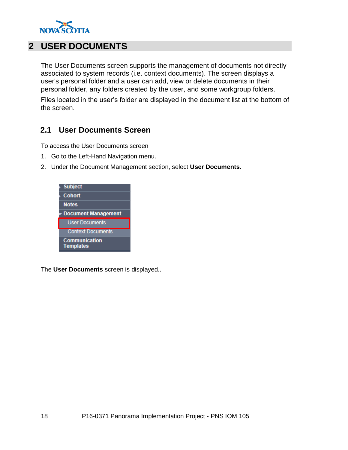

# <span id="page-21-0"></span>**2 USER DOCUMENTS**

The User Documents screen supports the management of documents not directly associated to system records (i.e. context documents). The screen displays a user's personal folder and a user can add, view or delete documents in their personal folder, any folders created by the user, and some workgroup folders.

Files located in the user's folder are displayed in the document list at the bottom of the screen.

### <span id="page-21-1"></span>**2.1 User Documents Screen**

To access the User Documents screen

- 1. Go to the Left-Hand Navigation menu.
- 2. Under the Document Management section, select **User Documents**.



The **User Documents** screen is displayed..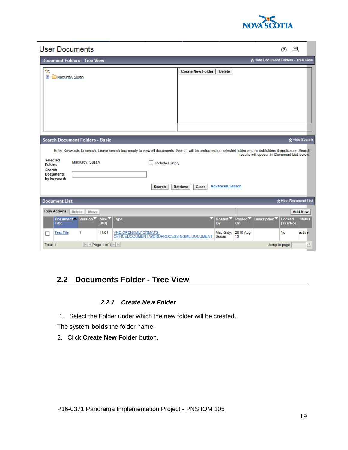

| <b>User Documents</b>                                                                                       | 具<br>(?)                                                                                                                                                                                                                                                                               |  |  |  |  |  |  |
|-------------------------------------------------------------------------------------------------------------|----------------------------------------------------------------------------------------------------------------------------------------------------------------------------------------------------------------------------------------------------------------------------------------|--|--|--|--|--|--|
| <b>Document Folders - Tree View</b>                                                                         | A Hide Document Folders - Tree View                                                                                                                                                                                                                                                    |  |  |  |  |  |  |
| 없.<br>由<br>MacKirdy, Susan                                                                                  | <b>Create New Folder</b><br><b>Delete</b>                                                                                                                                                                                                                                              |  |  |  |  |  |  |
|                                                                                                             |                                                                                                                                                                                                                                                                                        |  |  |  |  |  |  |
| <b>Search Document Folders - Basic</b>                                                                      | ☆ Hide Search                                                                                                                                                                                                                                                                          |  |  |  |  |  |  |
| <b>Selected</b><br>MacKirdy, Susan<br>Folder:<br><b>Search</b><br><b>Documents</b><br>by keyword:<br>Search | Enter Keywords to search. Leave search box empty to view all documents. Search will be performed on selected folder and its subfolders if applicable. Search<br>results will appear in 'Document List' below.<br><b>Include History</b><br><b>Advanced Search</b><br>Clear<br>Retrieve |  |  |  |  |  |  |
| <b>Document List</b>                                                                                        | ☆ Hide Document List                                                                                                                                                                                                                                                                   |  |  |  |  |  |  |
| <b>Row Actions:</b><br>Delete Move                                                                          | <b>Add New</b>                                                                                                                                                                                                                                                                         |  |  |  |  |  |  |
| Version <sup>V</sup><br>Document <sup>4</sup><br>Size<br><b>Type</b><br><b>Title</b><br>[KB]                | <b>Locked</b><br><b>Status</b><br><b>Posted</b><br>Description <sup>V</sup><br><b>Posted</b><br><b>By</b><br>(Yes/No)<br>On                                                                                                                                                            |  |  |  |  |  |  |
| 11.61<br>VND.OPENXMLFORMATS-<br><b>Test File</b><br>1<br>OFFICEDOCUMENT.WORDPROCESSINGML.DOCUMENT           | MacKirdy.<br>2018 Aug<br><b>No</b><br>active<br>Susan<br>13                                                                                                                                                                                                                            |  |  |  |  |  |  |
| $  \cdot  $ < Page 1 of 1 $  \cdot  $<br>Total: 1                                                           | e<br>Jump to page:                                                                                                                                                                                                                                                                     |  |  |  |  |  |  |

## <span id="page-22-1"></span><span id="page-22-0"></span>**2.2 Documents Folder - Tree View**

#### *2.2.1 Create New Folder*

1. Select the Folder under which the new folder will be created.

The system **bolds** the folder name.

2. Click **Create New Folder** button.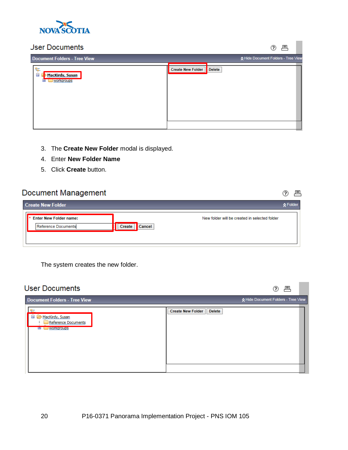

### **Jean Dooumante**

| <b>Jser Documents</b>                                |                          |               | 具<br>(?)                            |
|------------------------------------------------------|--------------------------|---------------|-------------------------------------|
| <b>Document Folders - Tree View</b>                  |                          |               | A Hide Document Folders - Tree View |
| 얺.<br>Ė<br>MacKirdy, Susan<br><b>Workgroups</b><br>ш | <b>Create New Folder</b> | <b>Delete</b> |                                     |

- 3. The **Create New Folder** modal is displayed.
- 4. Enter **New Folder Name**
- 5. Click **Create** button.

## Document Management

| <b>Create New Folder</b><br><b>☆ Folder</b>          |                                                                   |  |  |  |  |  |  |
|------------------------------------------------------|-------------------------------------------------------------------|--|--|--|--|--|--|
| <b>Enter New Folder name:</b><br>Reference Documents | New folder will be created in selected folder<br>Cancel<br>Create |  |  |  |  |  |  |

② 昌

The system creates the new folder.

| <b>User Documents</b>                                                      | 冎<br>(?)                                  |
|----------------------------------------------------------------------------|-------------------------------------------|
| <b>Document Folders - Tree View</b>                                        | ☆ Hide Document Folders - Tree View       |
| 85.<br>Ė<br>MacKirdy, Susan<br>Reference Documents<br><b>ED WORKGroups</b> | <b>Create New Folder</b><br><b>Delete</b> |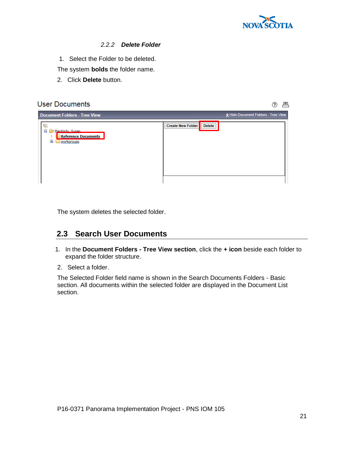

#### *2.2.2 Delete Folder*

- <span id="page-24-0"></span>1. Select the Folder to be deleted.
- The system **bolds** the folder name.
- 2. Click **Delete** button.

# **User Documents** ⑦ 具 **Document Folders - Tree View** ☆ Hide Document Folders - Tree View **Create New Folder** Delete ಜ 白 (B-Ma Reference Documents workgroups

<span id="page-24-1"></span>The system deletes the selected folder.

## **2.3 Search User Documents**

- 1. In the **Document Folders - Tree View section**, click the **+ icon** beside each folder to expand the folder structure.
- 2. Select a folder.

The Selected Folder field name is shown in the Search Documents Folders - Basic section. All documents within the selected folder are displayed in the Document List section.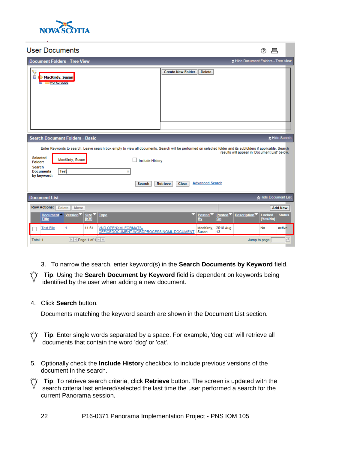

#### **Liser Documents**

| טווסוווודוווט וסכט                                                                                                                                                                                                                                                                                                                                                                                          | ৩<br>$\overline{\phantom{a}}$                                                                                                             |  |  |  |  |  |  |
|-------------------------------------------------------------------------------------------------------------------------------------------------------------------------------------------------------------------------------------------------------------------------------------------------------------------------------------------------------------------------------------------------------------|-------------------------------------------------------------------------------------------------------------------------------------------|--|--|--|--|--|--|
| <b>Document Folders - Tree View</b>                                                                                                                                                                                                                                                                                                                                                                         | ☆ Hide Document Folders - Tree View                                                                                                       |  |  |  |  |  |  |
| 얺.<br>Ė<br><b>MacKirdy, Susan</b><br>workgroups<br>ш                                                                                                                                                                                                                                                                                                                                                        | <b>Create New Folder</b><br><b>Delete</b>                                                                                                 |  |  |  |  |  |  |
|                                                                                                                                                                                                                                                                                                                                                                                                             |                                                                                                                                           |  |  |  |  |  |  |
| <b>Search Document Folders - Basic</b>                                                                                                                                                                                                                                                                                                                                                                      | ☆ Hide Search                                                                                                                             |  |  |  |  |  |  |
| Enter Keywords to search. Leave search box empty to view all documents. Search will be performed on selected folder and its subfolders if applicable. Search<br>results will appear in 'Document List' below.<br><b>Selected</b><br>MacKirdy, Susan<br><b>Include History</b><br>Folder:<br>Search<br>Test<br><b>Documents</b><br>×<br>by keyword:<br><b>Advanced Search</b><br>Clear<br>Search<br>Retrieve |                                                                                                                                           |  |  |  |  |  |  |
| <b>Document List</b>                                                                                                                                                                                                                                                                                                                                                                                        | ☆ Hide Document List                                                                                                                      |  |  |  |  |  |  |
| <b>Row Actions:</b><br>Delete Move                                                                                                                                                                                                                                                                                                                                                                          | <b>Add New</b>                                                                                                                            |  |  |  |  |  |  |
| Document <sup>4</sup><br><b>Size</b><br><b>Type</b><br>Version <sup>V</sup><br><b>Title</b><br><b>[KB]</b><br><b>Test File</b><br>1<br>11.61<br>VND.OPENXMLFORMATS-                                                                                                                                                                                                                                         | <b>Status</b><br><b>Locked</b><br>Posted<br>Posted<br><b>Description</b><br>By<br>On<br>(Yes/No)<br>2018 Aug<br>active<br>MacKirdy.<br>No |  |  |  |  |  |  |
| OFFICEDOCUMENT.WORDPROCESSINGML.DOCUMENT<br>$ \cdot $ $\cdot$ Page 1 of 1 $ \cdot $<br>Total: 1                                                                                                                                                                                                                                                                                                             | Susan<br>13<br>$\rightarrow$<br>Jump to page:                                                                                             |  |  |  |  |  |  |

 $\widehat{\phantom{a}}$  $\equiv$ 

3. To narrow the search, enter keyword(s) in the **Search Documents by Keyword** field.

**Tip**: Using the **Search Document by Keyword** field is dependent on keywords being identified by the user when adding a new document.

4. Click **Search** button.

Documents matching the keyword search are shown in the Document List section.

- Ő **Tip**: Enter single words separated by a space. For example, 'dog cat' will retrieve all documents that contain the word 'dog' or 'cat'.
- 5. Optionally check the **Include Histor**y checkbox to include previous versions of the document in the search.
- **Tip**: To retrieve search criteria, click **Retrieve** button. The screen is updated with the Ő search criteria last entered/selected the last time the user performed a search for the current Panorama session.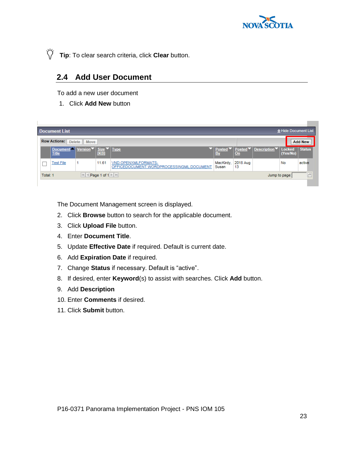

**Tip**: To clear search criteria, click **Clear** button.

## <span id="page-26-0"></span>**2.4 Add User Document**

To add a new user document

1. Click **Add New** button

| ☆ Hide Document List<br><b>Document List</b>                     |                                                |  |       |                                                                 |                    |                |                                                       |          |                |
|------------------------------------------------------------------|------------------------------------------------|--|-------|-----------------------------------------------------------------|--------------------|----------------|-------------------------------------------------------|----------|----------------|
| <b>Row Actions:</b><br>Delete Move                               |                                                |  |       |                                                                 |                    |                |                                                       |          | <b>Add New</b> |
|                                                                  | Document Version V Size V Type<br><b>Title</b> |  | [KB]  |                                                                 | <b>By</b>          | On             | Posted ▼   Posted ▼   Description ▼   Locked   Status | (Yes/No) |                |
|                                                                  | <b>Test File</b>                               |  | 11.61 | VND.OPENXMLFORMATS-<br>OFFICEDOCUMENT.WORDPROCESSINGML.DOCUMENT | MacKirdy.<br>Susan | 2018 Aug<br>13 |                                                       | No       | active         |
| Page 1 of 1      <br>$ \mathbf{q} $<br>Total: 1<br>Jump to page: |                                                |  |       |                                                                 |                    |                |                                                       |          |                |

The Document Management screen is displayed.

- 2. Click **Browse** button to search for the applicable document.
- 3. Click **Upload File** button.
- 4. Enter **Document Title**.
- 5. Update **Effective Date** if required. Default is current date.
- 6. Add **Expiration Date** if required.
- 7. Change **Status** if necessary. Default is "active".
- 8. If desired, enter **Keyword**(s) to assist with searches. Click **Add** button.
- 9. Add **Description**
- 10. Enter **Comments** if desired.
- 11. Click **Submit** button.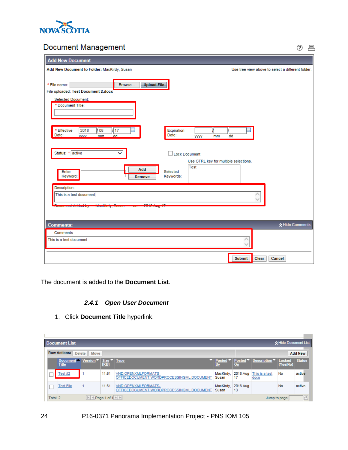

# Document Management

② 昌

| <b>Add New Document</b>                                                                                                                                                                                                                                 |
|---------------------------------------------------------------------------------------------------------------------------------------------------------------------------------------------------------------------------------------------------------|
| Add New Document to Folder: MacKirdy, Susan<br>Use tree view above to select a different folder.                                                                                                                                                        |
| <b>Upload File</b><br>* File name:<br>Browse<br>File uploaded: Test Document 2.docx<br>Selected Document:<br>* Document Title:<br>Expiration<br>2018<br>08<br>17<br>* Effective<br>Date:<br>Date:<br>dd<br>dd<br><b>vvvv</b><br>mm<br><b>YYYY</b><br>mm |
| Status: * active<br>Lock Document<br>Use CTRL key for multiple selections.<br>Test<br>Add<br>Selected<br>Enter<br>Keywords:<br>Keyword:<br>Remove                                                                                                       |
| Description:<br>This is a test document<br>A state at the<br><b>A Automatical</b><br>0.0000                                                                                                                                                             |
| ☆ Hide Comments<br><b>Comments:</b>                                                                                                                                                                                                                     |
| Comments<br>This is a test document                                                                                                                                                                                                                     |
| <b>Submit</b><br>Clear<br>Cancel                                                                                                                                                                                                                        |

<span id="page-27-0"></span>The document is added to the **Document List**.

#### *2.4.1 Open User Document*

1. Click **Document Title** hyperlink.

| ☆ Hide Document List<br>Document List        |                                                      |                                  |                                     |                                                                 |                                                    |                |                                                                      |                           |                |
|----------------------------------------------|------------------------------------------------------|----------------------------------|-------------------------------------|-----------------------------------------------------------------|----------------------------------------------------|----------------|----------------------------------------------------------------------|---------------------------|----------------|
| <b>Row Actions:</b><br><b>Delete</b><br>Move |                                                      |                                  |                                     |                                                                 |                                                    |                |                                                                      |                           | <b>Add New</b> |
|                                              | Document <sup>4</sup><br><b>Title</b>                | $ V$ ersion $\blacktriangledown$ | $Size \nightharpoonup$ Type<br>[KB] |                                                                 | $ $ Posted $\blacktriangledown$<br>$\overline{By}$ | On             | $\vert$ Posted $\blacktriangledown$ Description $\blacktriangledown$ | <b>Locked</b><br>(Yes/No) | <b>Status</b>  |
|                                              | $Test$ #2                                            |                                  | 11.61                               | VND.OPENXMLFORMATS-<br>OFFICEDOCUMENT.WORDPROCESSINGML.DOCUMENT | MacKirdy.<br>Susan                                 | 2018 Aug<br>17 | This is a test<br>docu                                               | No                        | active         |
|                                              | Test File                                            |                                  | 11.61                               | VND.OPENXMLFORMATS-<br>OFFICEDOCUMENT.WORDPROCESSINGML.DOCUMENT | MacKirdy.<br>Susan                                 | 2018 Aug<br>13 |                                                                      | No                        | active         |
|                                              | Page 1 of $1$          <br>Total: 2<br>Jump to page: |                                  |                                     |                                                                 |                                                    |                | e                                                                    |                           |                |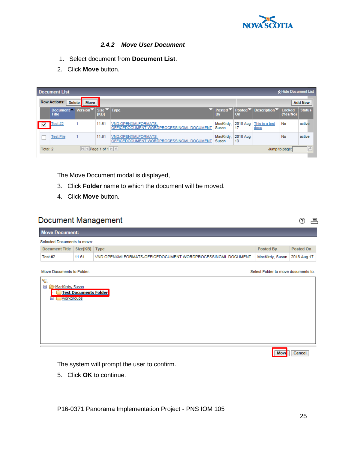

#### *2.4.2 Move User Document*

- <span id="page-28-0"></span>1. Select document from **Document List**.
- 2. Click **Move** button.

|                                                                           | <b>Document List</b><br>☆ Hide Document List        |                                       |                                               |       |                                                                 |                                                                                               |                |                                  |                    |                |
|---------------------------------------------------------------------------|-----------------------------------------------------|---------------------------------------|-----------------------------------------------|-------|-----------------------------------------------------------------|-----------------------------------------------------------------------------------------------|----------------|----------------------------------|--------------------|----------------|
|                                                                           | <b>Row Actions:</b><br><b>Move</b><br><b>Delete</b> |                                       |                                               |       |                                                                 |                                                                                               |                |                                  |                    | <b>Add New</b> |
|                                                                           |                                                     | Document <sup>*</sup><br><b>Title</b> | $ Version$   Size $\blacktriangledown$   Type | [KB]  |                                                                 | $\blacktriangledown$   Posted $\blacktriangledown$   Posted $\blacktriangledown$<br><b>By</b> | On             | Description $\blacktriangledown$ | Locked<br>(Yes/No) | <b>Status</b>  |
|                                                                           | $\blacktriangledown$                                | Test #2                               |                                               | 11.61 | VND.OPENXMLFORMATS-<br>OFFICEDOCUMENT.WORDPROCESSINGML.DOCUMENT | MacKirdy.<br>Susan                                                                            | 2018 Aug<br>17 | This is a test<br>docu           | No                 | active         |
|                                                                           |                                                     | <b>Test File</b>                      |                                               | 11.61 | VND.OPENXMLFORMATS-<br>OFFICEDOCUMENT.WORDPROCESSINGML.DOCUMENT | MacKirdy.<br>Susan                                                                            | 2018 Aug<br>13 |                                  | No                 | active         |
| Page 1 of $1$ $\parallel$ $\parallel$<br> A <br>Total: 2<br>Jump to page: |                                                     |                                       |                                               |       |                                                                 |                                                                                               | è              |                                  |                    |                |

The Move Document modal is displayed,

- 3. Click **Folder** name to which the document will be moved.
- 4. Click **Move** button.

# Document Management

| <b>Move Document:</b>                         |                              |                                                             |                                     |                  |
|-----------------------------------------------|------------------------------|-------------------------------------------------------------|-------------------------------------|------------------|
| Selected Documents to move:                   |                              |                                                             |                                     |                  |
| <b>Document Title</b>                         | Size[KB]   Type              |                                                             | Posted By                           | <b>Posted On</b> |
| Test#2                                        | 11.61                        | VND.OPENXMLFORMATS-OFFICEDOCUMENT.WORDPROCESSINGML.DOCUMENT | MacKirdy, Susan                     | 2018 Aug 17      |
| Move Documents to Folder:                     |                              |                                                             | Select Folder to move documents to. |                  |
| ڻ.<br>Ė<br>MacKirdy, Susan<br>workgroups<br>击 | <b>Test Documents Folder</b> |                                                             |                                     |                  |
|                                               |                              |                                                             | Move                                | Cancel           |

The system will prompt the user to confirm.

5. Click **OK** to continue.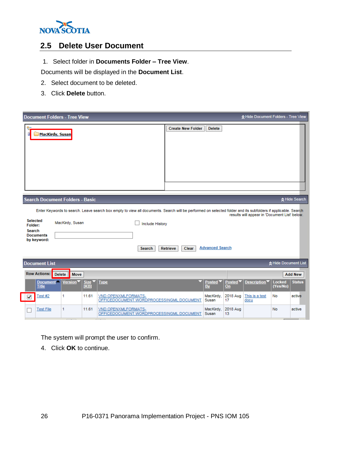

#### <span id="page-29-0"></span>**2.5 Delete User Document**

1. Select folder in **Documents Folder – Tree View**.

Documents will be displayed in the **Document List**.

- 2. Select document to be deleted.
- 3. Click **Delete** button.

|                                                                                | <b>Document Folders - Tree View</b>    |                                          |                                                                                                                                                                                                         |                          |                                  |                | ☆ Hide Document Folders - Tree View           |                      |                |
|--------------------------------------------------------------------------------|----------------------------------------|------------------------------------------|---------------------------------------------------------------------------------------------------------------------------------------------------------------------------------------------------------|--------------------------|----------------------------------|----------------|-----------------------------------------------|----------------------|----------------|
|                                                                                | <b>MacKirdy, Susan</b>                 |                                          |                                                                                                                                                                                                         | <b>Create New Folder</b> | <b>Delete</b>                    |                |                                               |                      |                |
|                                                                                | <b>Search Document Folders - Basic</b> |                                          |                                                                                                                                                                                                         |                          |                                  |                |                                               |                      | ☆ Hide Search  |
| <b>Selected</b><br><b>Folder:</b><br>Search<br><b>Documents</b><br>by keyword: | MacKirdy, Susan                        |                                          | Enter Keywords to search. Leave search box empty to view all documents. Search will be performed on selected folder and its subfolders if applicable. Search<br><b>Include History</b><br><b>Search</b> | Retrieve<br>Clear        | <b>Advanced Search</b>           |                | results will appear in 'Document List' below. |                      |                |
| <b>Document List</b>                                                           |                                        |                                          |                                                                                                                                                                                                         |                          |                                  |                |                                               | ☆ Hide Document List |                |
| Row Actions: Delete                                                            | Move                                   |                                          |                                                                                                                                                                                                         |                          |                                  |                |                                               |                      | <b>Add New</b> |
| Document <sup>*</sup><br><b>Title</b>                                          | Version <sup>V</sup>                   | $\vert$ Size $\vert$ Type<br><b>[KB]</b> |                                                                                                                                                                                                         |                          | Posted <sup>V</sup><br><b>By</b> | Posted<br>On   | <b>Description</b>                            | Locked<br>(Yes/No)   | <b>Status</b>  |
| Test $#2$<br>✔                                                                 | 1                                      | 11.61                                    | VND.OPENXMLFORMATS-<br>OFFICEDOCUMENT.WORDPROCESSINGML.DOCUMENT                                                                                                                                         |                          | MacKirdy.<br>Susan               | 2018 Aug<br>17 | This is a test<br>docu                        | No                   | active         |
| <b>Test File</b>                                                               | 1                                      | 11.61                                    | VND.OPENXMLFORMATS-<br>OFFICEDOCUMENT.WORDPROCESSINGML.DOCUMENT                                                                                                                                         |                          | MacKirdy.<br>Susan               | 2018 Aug<br>13 |                                               | No                   | active         |

The system will prompt the user to confirm.

4. Click **OK** to continue.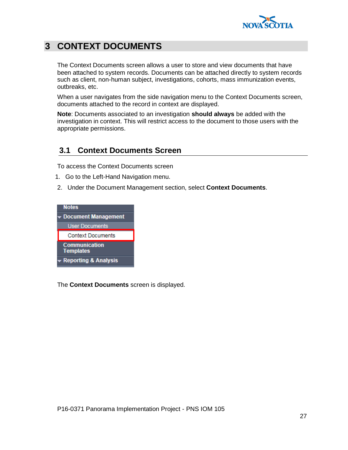

# <span id="page-30-0"></span>**3 CONTEXT DOCUMENTS**

The Context Documents screen allows a user to store and view documents that have been attached to system records. Documents can be attached directly to system records such as client, non-human subject, investigations, cohorts, mass immunization events, outbreaks, etc.

When a user navigates from the side navigation menu to the Context Documents screen, documents attached to the record in context are displayed.

**Note**: Documents associated to an investigation **should always** be added with the investigation in context. This will restrict access to the document to those users with the appropriate permissions.

## <span id="page-30-1"></span>**3.1 Context Documents Screen**

To access the Context Documents screen

- 1. Go to the Left-Hand Navigation menu.
- 2. Under the Document Management section, select **Context Documents**.



The **Context Documents** screen is displayed.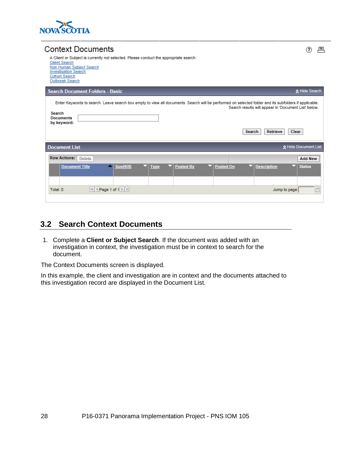

| <b>Context Documents</b><br>A Client or Subject is currently not selected. Please conduct the appropriate search:<br><b>Client Search</b><br>Non Human Subject Search<br><b>Investigation Search</b><br>Cohort Search<br>Outbreak Search | 戶                                                                                          |
|------------------------------------------------------------------------------------------------------------------------------------------------------------------------------------------------------------------------------------------|--------------------------------------------------------------------------------------------|
| <b>Search Document Folders - Basic</b>                                                                                                                                                                                                   | ☆ Hide Search                                                                              |
| Enter Keywords to search. Leave search box empty to view all documents. Search will be performed on selected folder and its subfolders if applicable.<br><b>Search</b><br><b>Documents</b><br>by keyword:                                | Search results will appear in 'Document List' below.<br>Retrieve<br>Clear<br><b>Search</b> |
| <b>Document List</b>                                                                                                                                                                                                                     | ☆ Hide Document List                                                                       |
| Row Actions:<br><b>Delete</b>                                                                                                                                                                                                            | <b>Add New</b>                                                                             |
| <b>Posted On</b><br>Size[KB]<br><b>Posted By</b><br><b>Document Title</b><br>$\blacktriangledown$ Type<br>$  \mathbf{A}   \leq \mathbf{Page} \mathbf{1} \text{ of } \mathbf{1}   \mathbf{B}     \mathbf{A}  $<br>Total: 0                | <b>Description</b><br><b>Status</b><br>rb.<br>Jump to page:                                |
|                                                                                                                                                                                                                                          |                                                                                            |

## <span id="page-31-0"></span>**3.2 Search Context Documents**

1. Complete a **Client or Subject Search**. If the document was added with an investigation in context, the investigation must be in context to search for the document.

The Context Documents screen is displayed.

In this example, the client and investigation are in context and the documents attached to this investigation record are displayed in the Document List.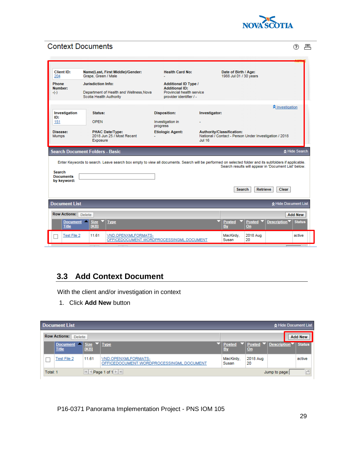

② 昌

 $20785$ 

#### **Context Documents**

| Client ID:<br>204                                | Name(Last, First Middle)/Gender:<br>Grape, Green / Male                                         | <b>Health Card No:</b>                                                                                       | Date of Birth / Age:<br>1988 Jul 01 / 30 years                                                                                                                                                                |
|--------------------------------------------------|-------------------------------------------------------------------------------------------------|--------------------------------------------------------------------------------------------------------------|---------------------------------------------------------------------------------------------------------------------------------------------------------------------------------------------------------------|
| <b>Phone</b><br>Number:<br>$-(-)$                | <b>Jurisdiction Info:</b><br>Department of Health and Wellness, Nova<br>Scotia Health Authority | <b>Additional ID Type /</b><br><b>Additional ID:</b><br>Provincial health service<br>provider identifier / - |                                                                                                                                                                                                               |
|                                                  |                                                                                                 |                                                                                                              | <b>A</b> Investigation                                                                                                                                                                                        |
| Investigation<br>ID:                             | Status:                                                                                         | <b>Disposition:</b>                                                                                          | Investigator:                                                                                                                                                                                                 |
| 151                                              | <b>OPEN</b>                                                                                     | Investigation in<br>progress                                                                                 |                                                                                                                                                                                                               |
| Disease:<br>Mumps                                | <b>PHAC Date/Type:</b><br>2018 Jun 25 / Most Recent<br>Exposure                                 | <b>Etiologic Agent:</b>                                                                                      | <b>Authority/Classification:</b><br>National / Contact - Person Under Investigation / 2018<br><b>Jul 16</b>                                                                                                   |
| <b>Search</b><br><b>Documents</b><br>by keyword: |                                                                                                 |                                                                                                              | Enter Keywords to search. Leave search box empty to view all documents. Search will be performed on selected folder and its subfolders if applicable.<br>Search results will appear in 'Document List' below. |
|                                                  |                                                                                                 |                                                                                                              | Clear<br>Search<br>Retrieve                                                                                                                                                                                   |
| <b>Document List</b>                             |                                                                                                 |                                                                                                              | ☆ Hide Document List                                                                                                                                                                                          |
| <b>Row Actions:</b>                              | <b>Delete</b>                                                                                   |                                                                                                              | <b>Add New</b>                                                                                                                                                                                                |
| Document –<br><b>Title</b>                       | <b>Size</b><br><b>Type</b><br>[KB]                                                              |                                                                                                              | <b>Posted</b><br><b>Description</b><br><b>Status</b><br><b>Posted</b><br>By<br>On                                                                                                                             |
| Test File 2                                      | 11.61<br>VND.OPENXMLFORMATS-                                                                    | OFFICEDOCUMENT.WORDPROCESSINGML.DOCUMENT                                                                     | MacKirdy,<br>2018 Aug<br>active<br>20<br>Susan                                                                                                                                                                |

## <span id="page-32-0"></span>**3.3 Add Context Document**

With the client and/or investigation in context

1. Click **Add New** button

|          | <b>Document List</b>                 |                     |                                                                 |                     |                     | ☆ Hide Document List             |                |
|----------|--------------------------------------|---------------------|-----------------------------------------------------------------|---------------------|---------------------|----------------------------------|----------------|
|          | <b>Row Actions:</b><br><b>Delete</b> |                     |                                                                 |                     |                     |                                  | <b>Add New</b> |
|          | <b>Document</b><br><b>Title</b>      | <b>Size</b><br>[KB] | $\blacktriangledown$ Type                                       | Posted<br><b>By</b> | <b>Posted</b><br>On | Description $\blacktriangledown$ | <b>Status</b>  |
|          | Test File 2                          | 11.61               | VND.OPENXMLFORMATS-<br>OFFICEDOCUMENT.WORDPROCESSINGML.DOCUMENT | MacKirdy.<br>Susan  | 2018 Aug<br>20      |                                  | active         |
| Total: 1 |                                      |                     | Page 1 of 1                                                     |                     |                     | Jump to page:                    | d              |

P16-0371 Panorama Implementation Project - PNS IOM 105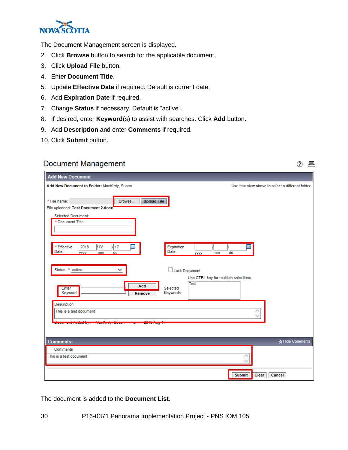

The Document Management screen is displayed.

- 2. Click **Browse** button to search for the applicable document.
- 3. Click **Upload File** button.
- 4. Enter **Document Title**.
- 5. Update **Effective Date** if required. Default is current date.
- 6. Add **Expiration Date** if required.
- 7. Change **Status** if necessary. Default is "active".
- 8. If desired, enter **Keyword**(s) to assist with searches. Click **Add** button.
- 9. Add **Description** and enter **Comments** if required.
- 10. Click **Submit** button.

### Document Management

| <b>Add New Document</b>                                                                                                                                                                                                             |                                                                       |
|-------------------------------------------------------------------------------------------------------------------------------------------------------------------------------------------------------------------------------------|-----------------------------------------------------------------------|
| Add New Document to Folder: MacKirdy, Susan                                                                                                                                                                                         | Use tree view above to select a different folder.                     |
| <b>Upload File</b><br>Browse<br>* File name:<br>File uploaded: Test Document 2.docx<br>Selected Document:<br>* Document Title:<br>噩<br>Expiration<br>2018<br>08<br>/ 17<br>* Effective<br>Date:<br>Date:<br>dd<br><b>vvvv</b><br>mm | 噩<br>dd<br><b>YYYY</b><br>mm                                          |
| Status: * active<br>Add<br>Selected<br>Enter<br>Keywords:<br>Keyword:<br>Remove                                                                                                                                                     | Lock Document<br>Use CTRL key for multiple selections.<br><b>Test</b> |
| Description:<br>This is a test document<br><b>Section</b><br>onan                                                                                                                                                                   |                                                                       |
|                                                                                                                                                                                                                                     |                                                                       |
| <b>Comments:</b>                                                                                                                                                                                                                    | ☆ Hide Comments                                                       |
| Comments<br>This is a test document                                                                                                                                                                                                 | ∼                                                                     |
|                                                                                                                                                                                                                                     | <b>Submit</b><br>Clear<br>Cancel                                      |

具 ⊘

The document is added to the **Document List**.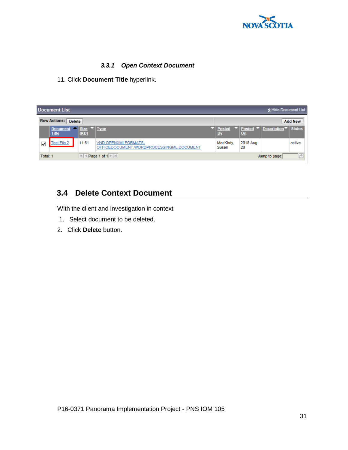

#### *3.3.1 Open Context Document*

#### <span id="page-34-0"></span>11. Click **Document Title** hyperlink.

|          | <b>Document List</b>            |                     |                                                                 |                     |                                                        | ☆ Hide Document List                           |                |
|----------|---------------------------------|---------------------|-----------------------------------------------------------------|---------------------|--------------------------------------------------------|------------------------------------------------|----------------|
|          | <b>Row Actions:</b>             | <b>Delete</b>       |                                                                 |                     |                                                        |                                                | <b>Add New</b> |
|          | <b>Document</b><br><b>Title</b> | <b>Size</b><br>[KB] | $\blacktriangledown$   Type                                     | Posted<br><b>By</b> | $\blacktriangledown$ Posted $\blacktriangledown$<br>On | $\vert$ Description $\vert \cdot \vert$ Status |                |
| √        | Test File 2                     | 11.61               | VND.OPENXMLFORMATS-<br>OFFICEDOCUMENT.WORDPROCESSINGML.DOCUMENT | MacKirdy,<br>Susan  | 2018 Aug<br>20                                         |                                                | active         |
| Total: 1 |                                 |                     | Page 1 of 1                                                     |                     |                                                        | Jump to page:                                  | d              |

## <span id="page-34-1"></span>**3.4 Delete Context Document**

With the client and investigation in context

- 1. Select document to be deleted.
- 2. Click **Delete** button.